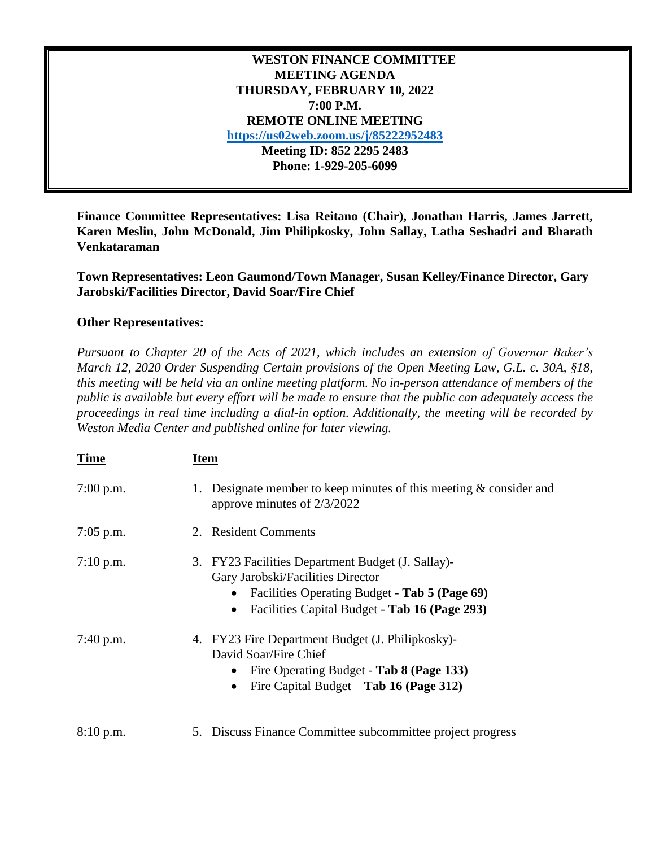## **WESTON FINANCE COMMITTEE MEETING AGENDA THURSDAY, FEBRUARY 10, 2022 7:00 P.M. REMOTE ONLINE MEETING <https://us02web.zoom.us/j/85222952483> Meeting ID: 852 2295 2483 Phone: 1-929-205-6099**

**Finance Committee Representatives: Lisa Reitano (Chair), Jonathan Harris, James Jarrett, Karen Meslin, John McDonald, Jim Philipkosky, John Sallay, Latha Seshadri and Bharath Venkataraman**

**Town Representatives: Leon Gaumond/Town Manager, Susan Kelley/Finance Director, Gary Jarobski/Facilities Director, David Soar/Fire Chief**

## **Other Representatives:**

*Pursuant to Chapter 20 of the Acts of 2021, which includes an extension of Governor Baker's March 12, 2020 Order Suspending Certain provisions of the Open Meeting Law, G.L. c. 30A, §18, this meeting will be held via an online meeting platform. No in-person attendance of members of the public is available but every effort will be made to ensure that the public can adequately access the proceedings in real time including a dial-in option. Additionally, the meeting will be recorded by Weston Media Center and published online for later viewing.*

| <b>Time</b> | <u>Item</u>                                                                                                                                                                                           |
|-------------|-------------------------------------------------------------------------------------------------------------------------------------------------------------------------------------------------------|
| $7:00$ p.m. | Designate member to keep minutes of this meeting $\&$ consider and<br>1.<br>approve minutes of 2/3/2022                                                                                               |
| $7:05$ p.m. | 2. Resident Comments                                                                                                                                                                                  |
| $7:10$ p.m. | 3. FY23 Facilities Department Budget (J. Sallay)-<br>Gary Jarobski/Facilities Director<br>Facilities Operating Budget - Tab 5 (Page 69)<br>Facilities Capital Budget - Tab 16 (Page 293)<br>$\bullet$ |
| $7:40$ p.m. | 4. FY23 Fire Department Budget (J. Philipkosky)-<br>David Soar/Fire Chief<br>Fire Operating Budget - Tab 8 (Page 133)<br>Fire Capital Budget $-$ Tab 16 (Page 312)<br>$\bullet$                       |
| 8:10 p.m.   | 5. Discuss Finance Committee subcommittee project progress                                                                                                                                            |